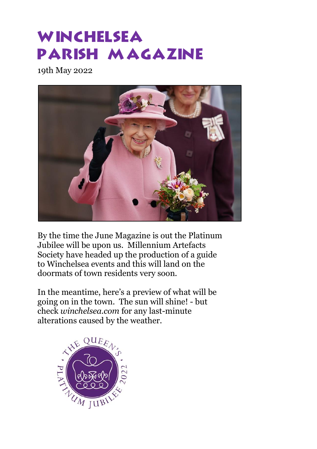# **WINCHELSEA** PARISH MAGAZINE

19th May 2022



By the time the June Magazine is out the Platinum Jubilee will be upon us. Millennium Artefacts Society have headed up the production of a guide to Winchelsea events and this will land on the doormats of town residents very soon.

In the meantime, here's a preview of what will be going on in the town. The sun will shine! - but check *winchelsea.com* for any last-minute alterations caused by the weather.

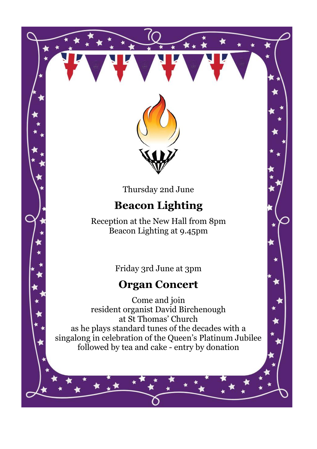

Thursday 2nd June

# **Beacon Lighting**

Reception at the New Hall from 8pm Beacon Lighting at 9.45pm

Friday 3rd June at 3pm

# **Organ Concert**

Come and join resident organist David Birchenough at St Thomas' Church as he plays standard tunes of the decades with a singalong in celebration of the Queen's Platinum Jubilee followed by tea and cake - entry by donation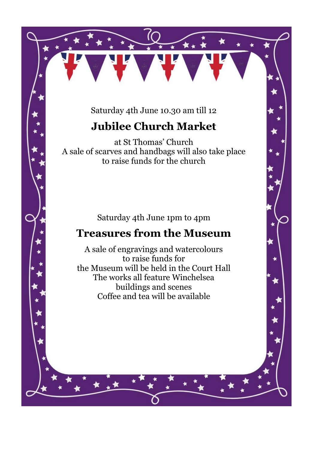#### Saturday 4th June 10.30 am till 12

# **Jubilee Church Market**

at St Thomas' Church A sale of scarves and handbags will also take place to raise funds for the church

#### Saturday 4th June 1pm to 4pm

#### **Treasures from the Museum**

A sale of engravings and watercolours to raise funds for the Museum will be held in the Court Hall The works all feature Winchelsea buildings and scenes Coffee and tea will be available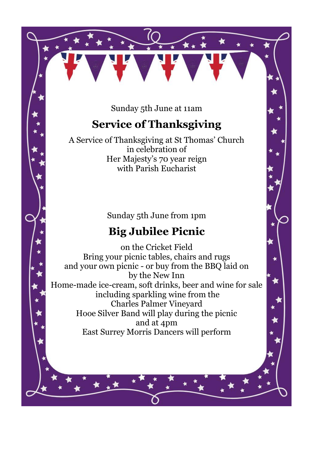Sunday 5th June at 11am

# **Service of Thanksgiving**

A Service of Thanksgiving at St Thomas' Church in celebration of Her Majesty's 70 year reign with Parish Eucharist

Sunday 5th June from 1pm

# **Big Jubilee Picnic**

on the Cricket Field Bring your picnic tables, chairs and rugs and your own picnic - or buy from the BBQ laid on by the New Inn Home-made ice-cream, soft drinks, beer and wine for sale including sparkling wine from the Charles Palmer Vineyard Hooe Silver Band will play during the picnic and at 4pm East Surrey Morris Dancers will perform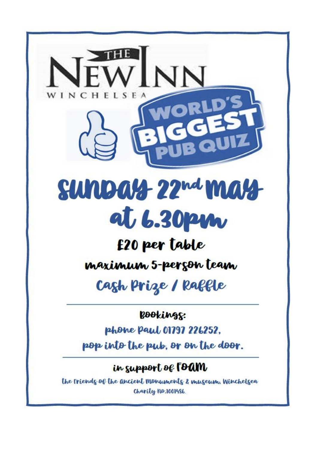

**Phone Paul 01797 226252.** 

pop into the pub, or on the door.

### in support of **[Oam**

the Triends of the ancient monuments & museum, Winchelsea Charity No.1001486.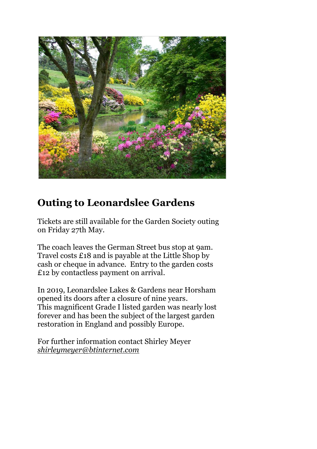

# **Outing to Leonardslee Gardens**

Tickets are still available for the Garden Society outing on Friday 27th May.

The coach leaves the German Street bus stop at 9am. Travel costs £18 and is payable at the Little Shop by cash or cheque in advance. Entry to the garden costs £12 by contactless payment on arrival.

In 2019, Leonardslee Lakes & Gardens near Horsham opened its doors after a closure of nine years. This magnificent Grade I listed garden was nearly lost forever and has been the subject of the largest garden restoration in England and possibly Europe.

For further information contact Shirley Meyer *[shirleymeyer@btinternet.com](mailto:shirleymeyer@btinternet.com)*